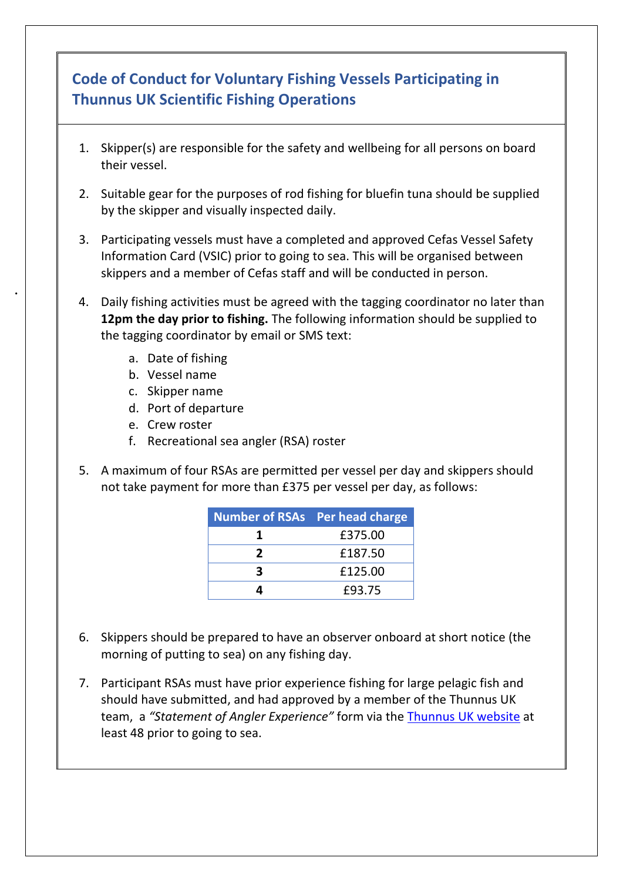## **Code of Conduct for Voluntary Fishing Vessels Participating in Thunnus UK Scientific Fishing Operations**

- 1. Skipper(s) are responsible for the safety and wellbeing for all persons on board their vessel.
- 2. Suitable gear for the purposes of rod fishing for bluefin tuna should be supplied by the skipper and visually inspected daily.
- 3. Participating vessels must have a completed and approved Cefas Vessel Safety Information Card (VSIC) prior to going to sea. This will be organised between skippers and a member of Cefas staff and will be conducted in person.
- 4. Daily fishing activities must be agreed with the tagging coordinator no later than **12pm the day prior to fishing.** The following information should be supplied to the tagging coordinator by email or SMS text:
	- a. Date of fishing
	- b. Vessel name

•

- c. Skipper name
- d. Port of departure
- e. Crew roster
- f. Recreational sea angler (RSA) roster
- 5. A maximum of four RSAs are permitted per vessel per day and skippers should not take payment for more than £375 per vessel per day, as follows:

| <b>Number of RSAs Per head charge</b> |         |
|---------------------------------------|---------|
|                                       | £375.00 |
| 2                                     | £187.50 |
| R                                     | £125.00 |
| 4                                     | £93.75  |

- 6. Skippers should be prepared to have an observer onboard at short notice (the morning of putting to sea) on any fishing day.
- 7. Participant RSAs must have prior experience fishing for large pelagic fish and should have submitted, and had approved by a member of the Thunnus UK team, a *"Statement of Angler Experience"* form via the [Thunnus UK website](http://www.thunnusuk.org/statement-of-angler-experience) at least 48 prior to going to sea.